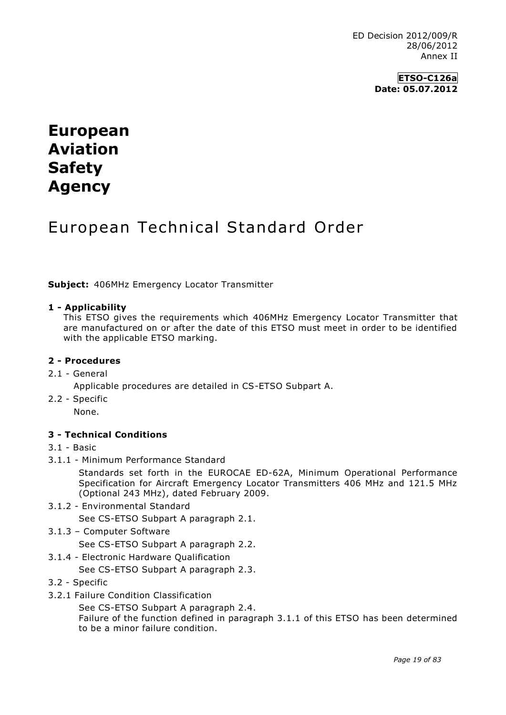**ETSO-C126a Date: 05.07.2012**

# **European Aviation Safety Agency**

# European Technical Standard Order

**Subject:** 406MHz Emergency Locator Transmitter

#### **1 - Applicability**

This ETSO gives the requirements which 406MHz Emergency Locator Transmitter that are manufactured on or after the date of this ETSO must meet in order to be identified with the applicable ETSO marking.

#### **2 - Procedures**

#### 2.1 - General

- Applicable procedures are detailed in CS-ETSO Subpart A.
- 2.2 Specific

None.

## **3 - Technical Conditions**

#### 3.1 - Basic

3.1.1 - Minimum Performance Standard

Standards set forth in the EUROCAE ED-62A, Minimum Operational Performance Specification for Aircraft Emergency Locator Transmitters 406 MHz and 121.5 MHz (Optional 243 MHz), dated February 2009.

- 3.1.2 Environmental Standard
	- See CS-ETSO Subpart A paragraph 2.1.
- 3.1.3 Computer Software

See CS-ETSO Subpart A paragraph 2.2.

3.1.4 - Electronic Hardware Qualification

See CS-ETSO Subpart A paragraph 2.3.

- 3.2 Specific
- 3.2.1 Failure Condition Classification

See CS-ETSO Subpart A paragraph 2.4.

Failure of the function defined in paragraph 3.1.1 of this ETSO has been determined to be a minor failure condition.